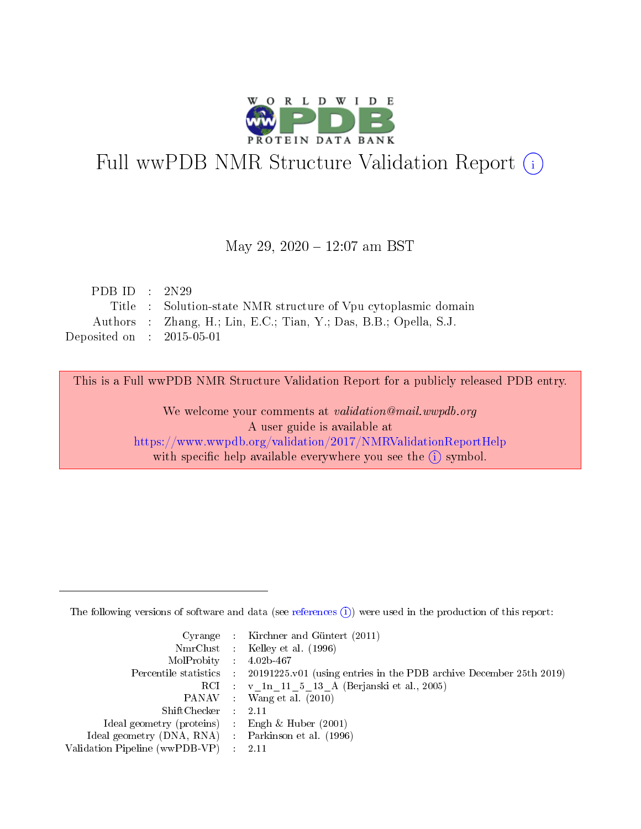

# Full wwPDB NMR Structure Validation Report (i)

#### May 29, 2020 - 12:07 am BST

| PDB ID : $2N29$             |                                                                   |
|-----------------------------|-------------------------------------------------------------------|
|                             | Title : Solution-state NMR structure of Vpu cytoplasmic domain    |
|                             | Authors : Zhang, H.; Lin, E.C.; Tian, Y.; Das, B.B.; Opella, S.J. |
| Deposited on : $2015-05-01$ |                                                                   |

This is a Full wwPDB NMR Structure Validation Report for a publicly released PDB entry.

We welcome your comments at validation@mail.wwpdb.org A user guide is available at <https://www.wwpdb.org/validation/2017/NMRValidationReportHelp> with specific help available everywhere you see the  $(i)$  symbol.

The following versions of software and data (see [references](https://www.wwpdb.org/validation/2017/NMRValidationReportHelp#references)  $(1)$ ) were used in the production of this report:

|                                                     | Cyrange : Kirchner and Güntert $(2011)$                                                    |
|-----------------------------------------------------|--------------------------------------------------------------------------------------------|
|                                                     | NmrClust : Kelley et al. (1996)                                                            |
| $MolProbability$ 4.02b-467                          |                                                                                            |
|                                                     | Percentile statistics : 20191225.v01 (using entries in the PDB archive December 25th 2019) |
|                                                     | RCI : v 1n 11 5 13 A (Berjanski et al., 2005)                                              |
|                                                     | PANAV Wang et al. (2010)                                                                   |
| $ShiftChecker$ 2.11                                 |                                                                                            |
| Ideal geometry (proteins) : Engh $\&$ Huber (2001)  |                                                                                            |
| Ideal geometry (DNA, RNA) : Parkinson et al. (1996) |                                                                                            |
| Validation Pipeline (wwPDB-VP)                      | $\sim 2.11$                                                                                |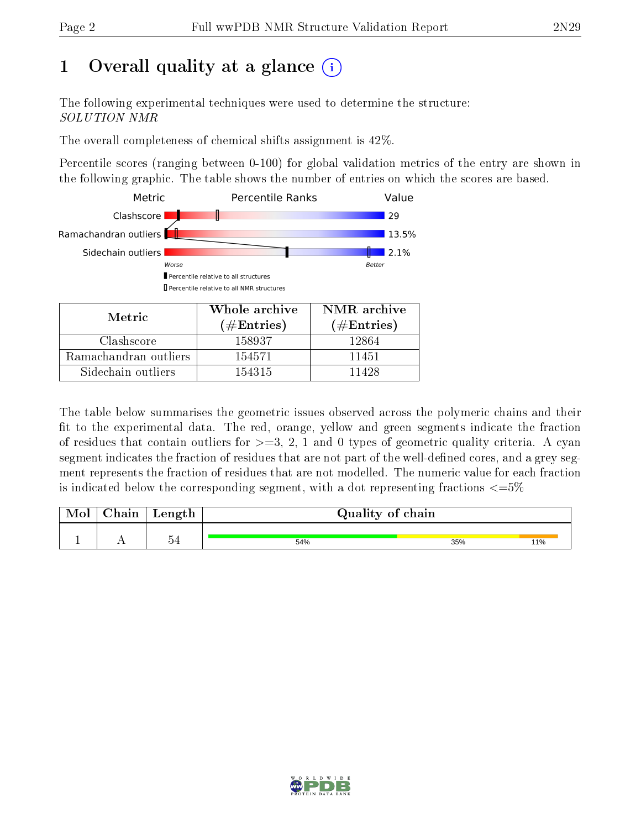# 1 [O](https://www.wwpdb.org/validation/2017/NMRValidationReportHelp#overall_quality)verall quality at a glance  $(i)$

The following experimental techniques were used to determine the structure: SOLUTION NMR

The overall completeness of chemical shifts assignment is 42%.

Percentile scores (ranging between 0-100) for global validation metrics of the entry are shown in the following graphic. The table shows the number of entries on which the scores are based.



| Metric                | <u>WHUIE AICHIVE</u><br>(# ${\rm Entries}$ ) | TAIVITE ALCHIVE<br>$(\#Entries)$ |
|-----------------------|----------------------------------------------|----------------------------------|
| Clashscore            | 158937                                       | 12864                            |
| Ramachandran outliers | 154571                                       | 11451                            |
| Sidechain outliers    | 154315                                       | 11428                            |

The table below summarises the geometric issues observed across the polymeric chains and their fit to the experimental data. The red, orange, yellow and green segments indicate the fraction of residues that contain outliers for  $>=3, 2, 1$  and 0 types of geometric quality criteria. A cyan segment indicates the fraction of residues that are not part of the well-defined cores, and a grey segment represents the fraction of residues that are not modelled. The numeric value for each fraction is indicated below the corresponding segment, with a dot representing fractions  $\epsilon = 5\%$ 

| 54 | 54% | 11%<br>35% |
|----|-----|------------|

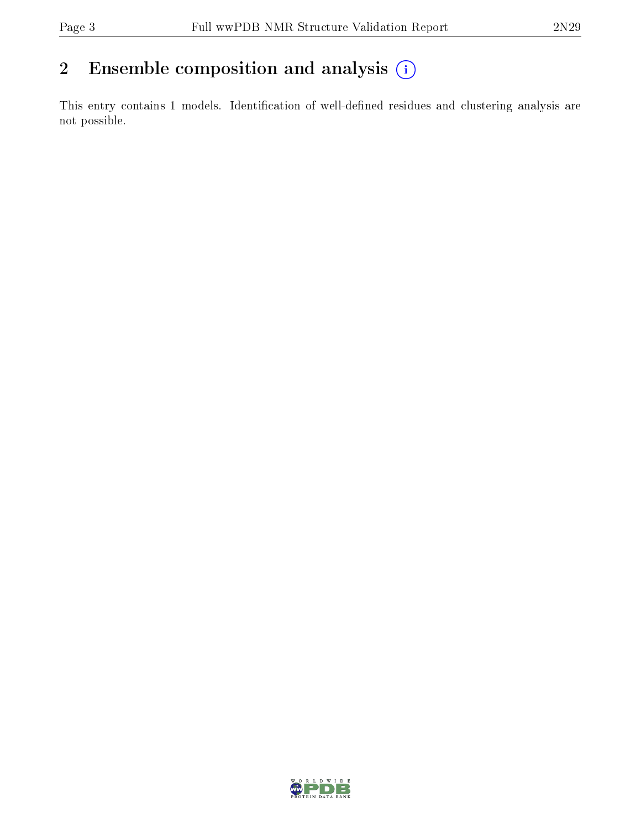## 2 Ensemble composition and analysis  $(i)$

This entry contains 1 models. Identification of well-defined residues and clustering analysis are not possible.

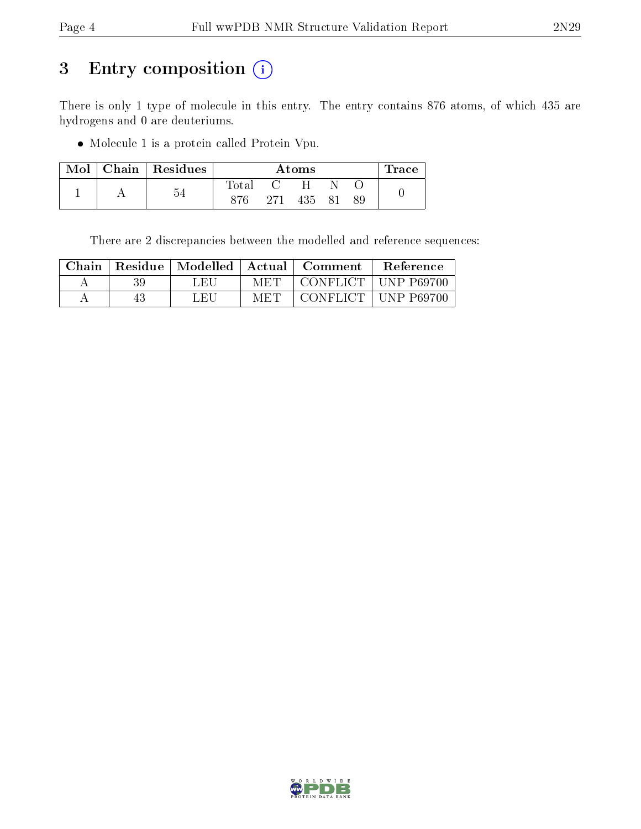# 3 Entry composition (i)

There is only 1 type of molecule in this entry. The entry contains 876 atoms, of which 435 are hydrogens and 0 are deuteriums.

Molecule 1 is a protein called Protein Vpu.

| Mol | Chain   Residues | Atoms          |     |     |    |    | $\operatorname{Trace}$ |
|-----|------------------|----------------|-----|-----|----|----|------------------------|
|     |                  | $_{\rm Total}$ |     |     |    |    |                        |
|     | -54              | 876            | 271 | 435 | 81 | 89 |                        |

There are 2 discrepancies between the modelled and reference sequences:

| Chain | Residue | Modelled | ' Actual | Comment   | Reference          |
|-------|---------|----------|----------|-----------|--------------------|
| А     | 39      | L ET     | MET      | CONFLICT  | <b>TINP P69700</b> |
|       |         | LEU      | MET      | CONFLICT. | - UNP-P69700       |

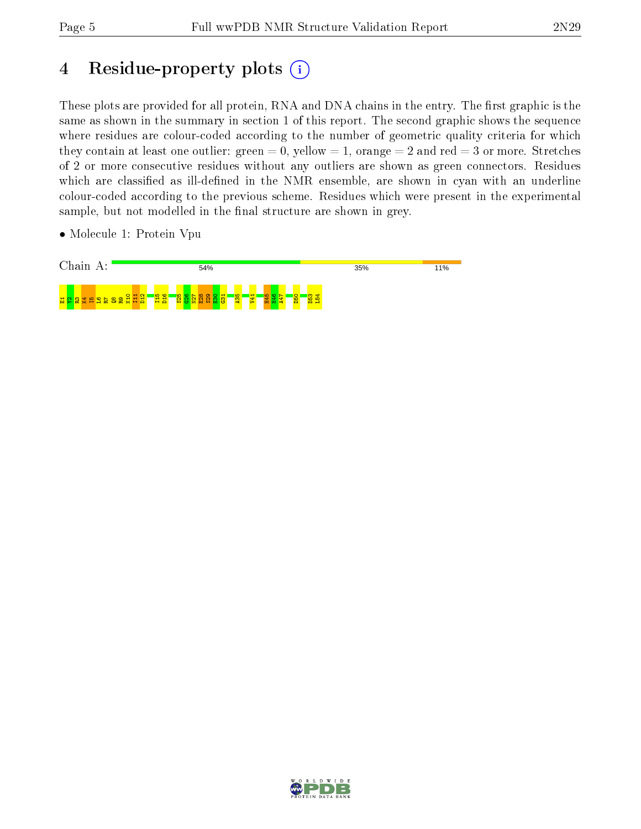# 4 Residue-property plots (i)

These plots are provided for all protein, RNA and DNA chains in the entry. The first graphic is the same as shown in the summary in section 1 of this report. The second graphic shows the sequence where residues are colour-coded according to the number of geometric quality criteria for which they contain at least one outlier: green  $= 0$ , yellow  $= 1$ , orange  $= 2$  and red  $= 3$  or more. Stretches of 2 or more consecutive residues without any outliers are shown as green connectors. Residues which are classified as ill-defined in the NMR ensemble, are shown in cyan with an underline colour-coded according to the previous scheme. Residues which were present in the experimental sample, but not modelled in the final structure are shown in grey.

• Molecule 1: Protein Vpu



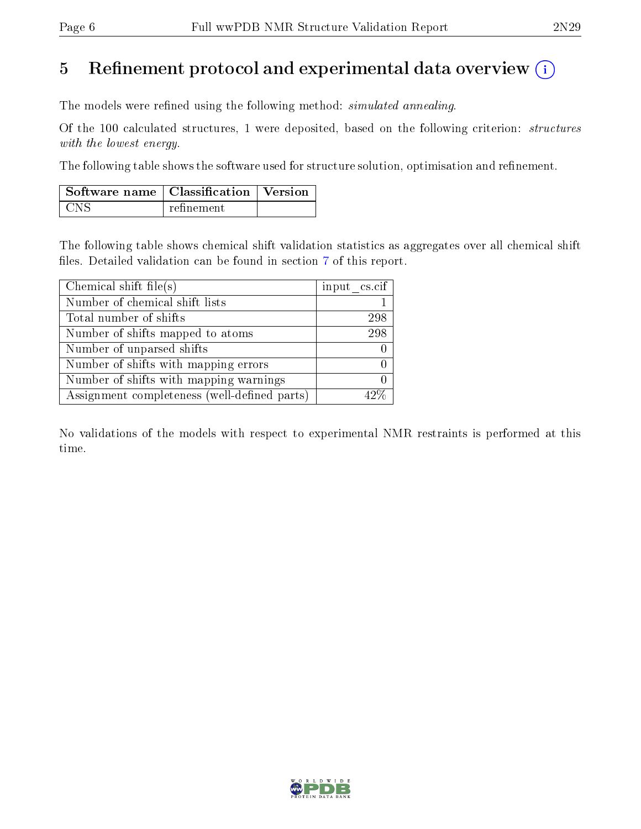## 5 Refinement protocol and experimental data overview  $\binom{1}{k}$

The models were refined using the following method: *simulated annealing*.

Of the 100 calculated structures, 1 were deposited, based on the following criterion: structures with the lowest energy.

The following table shows the software used for structure solution, optimisation and refinement.

| $\mid$ Software name $\mid$ Classification $\mid$ Version |            |  |
|-----------------------------------------------------------|------------|--|
| . CNS                                                     | refinement |  |

The following table shows chemical shift validation statistics as aggregates over all chemical shift files. Detailed validation can be found in section [7](#page-9-0) of this report.

| Chemical shift file(s)                       | input cs.cif |
|----------------------------------------------|--------------|
| Number of chemical shift lists               |              |
| Total number of shifts                       | 298          |
| Number of shifts mapped to atoms             | 298          |
| Number of unparsed shifts                    |              |
| Number of shifts with mapping errors         |              |
| Number of shifts with mapping warnings       |              |
| Assignment completeness (well-defined parts) |              |

No validations of the models with respect to experimental NMR restraints is performed at this time.

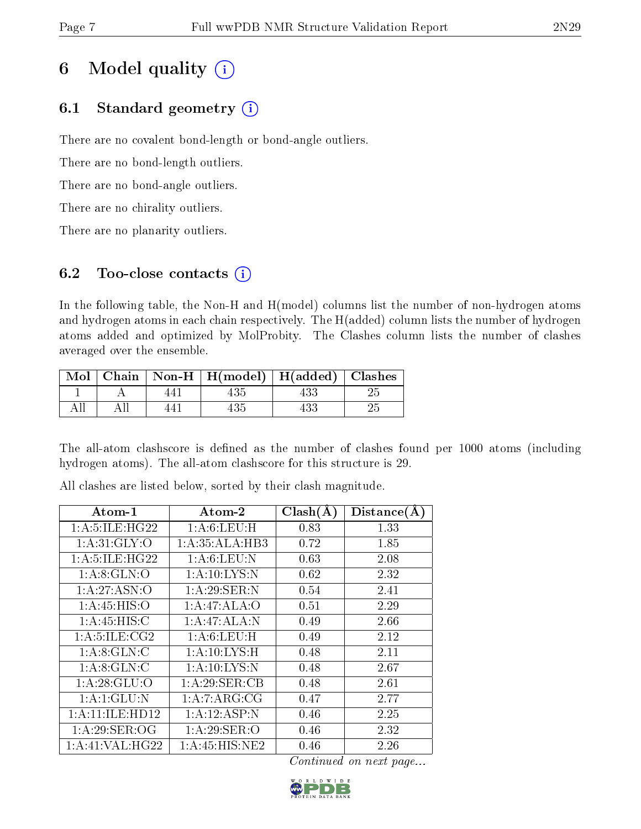## 6 Model quality  $(i)$

### 6.1 Standard geometry  $(i)$

There are no covalent bond-length or bond-angle outliers.

There are no bond-length outliers.

There are no bond-angle outliers.

There are no chirality outliers.

There are no planarity outliers.

### 6.2 Too-close contacts  $(i)$

In the following table, the Non-H and H(model) columns list the number of non-hydrogen atoms and hydrogen atoms in each chain respectively. The H(added) column lists the number of hydrogen atoms added and optimized by MolProbity. The Clashes column lists the number of clashes averaged over the ensemble.

|  | Mol   Chain   Non-H   H(model)   H(added)   Clashes |  |
|--|-----------------------------------------------------|--|
|  |                                                     |  |
|  |                                                     |  |

The all-atom clashscore is defined as the number of clashes found per 1000 atoms (including hydrogen atoms). The all-atom clashscore for this structure is 29.

All clashes are listed below, sorted by their clash magnitude.

| Atom-1                   | $\boldsymbol{\mathrm{Atom}\text{-}2}$ | Clash(A) | Distance(A) |
|--------------------------|---------------------------------------|----------|-------------|
| 1: A:5: ILE: HG22        | 1: A:6: LEU:H                         | 0.83     | 1.33        |
| 1: A:31: GLY:O           | 1:A:35:ALA:HB3                        | 0.72     | 1.85        |
| 1: A: 5: ILE: HG22       | 1: A:6: LEU: N                        | 0.63     | 2.08        |
| 1: A:8: GLN:O            | 1:A:10:LYS:N                          | 0.62     | 2.32        |
| 1:A:27:ASN:O             | 1:A:29:SER:N                          | 0.54     | 2.41        |
| 1: A:45: HIS:O           | 1:A:47:ALA:O                          | 0.51     | 2.29        |
| 1:A:45:HIS:C             | 1:A:47:ALA:N                          | 0.49     | 2.66        |
| 1: A: 5: ILE: CG2        | 1: A:6: LEU:H                         | 0.49     | 2.12        |
| $1:A:8:\overline{GLN:C}$ | 1: A:10: LYS:H                        | 0.48     | 2.11        |
| 1: A:8: GLN: C           | 1:A:10:LYS:N                          | 0.48     | 2.67        |
| 1:A:28:GLU:O             | 1:A:29:SER:CB                         | 0.48     | 2.61        |
| 1: A:1: GLU:N            | 1:A:7:ARG:CG                          | 0.47     | 2.77        |
| 1:A:11:ILE:HD12          | 1:A:12:ASP:N                          | 0.46     | 2.25        |
| 1:A:29:SER:OG            | 1: A:29: SER:O                        | 0.46     | 2.32        |
| 1:A:41:VAL:HG22          | 1:A:45:HIS:NE2                        | $0.46\,$ | 2.26        |

Continued on next page...

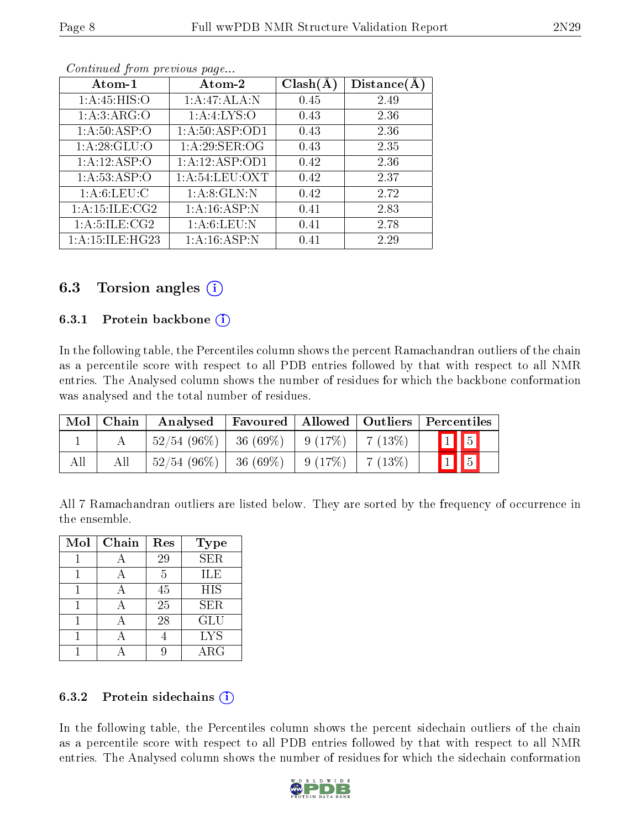| Atom-1             | Atom-2            | Clash(A) | Distance(A) |
|--------------------|-------------------|----------|-------------|
| 1:A:45:HIS:O       | 1:A:47:ALA:N      | 0.45     | 2.49        |
| 1: A:3: ARG:O      | 1:A:4:LYS:O       | 0.43     | 2.36        |
| 1: A:50: ASP:O     | 1: A:50: ASP:OD1  | 0.43     | 2.36        |
| 1: A:28: GLU:O     | 1: A:29: SER:OG   | 0.43     | 2.35        |
| 1:A:12:ASP:O       | 1:A:12:ASP:OD1    | 0.42     | 2.36        |
| 1: A:53: ASP:O     | 1: A:54: LEU: OXT | 0.42     | 2.37        |
| 1: A:6: LEU: C     | 1: A:8: GLN:N     | 0.42     | 2.72        |
| 1: A: 15: ILE: CG2 | 1: A:16: ASP:N    | 0.41     | 2.83        |
| 1: A: 5: ILE: CG2  | 1: A:6: LEU: N    | 0.41     | 2.78        |
| 1: A:15: ILE:HG23  | 1:A:16:ASP:N      | 0.41     | 2.29        |

Continued from previous page...

### 6.3 Torsion angles (i)

#### 6.3.1 Protein backbone  $(i)$

In the following table, the Percentiles column shows the percent Ramachandran outliers of the chain as a percentile score with respect to all PDB entries followed by that with respect to all NMR entries. The Analysed column shows the number of residues for which the backbone conformation was analysed and the total number of residues.

| $\bf{Mol}$ | Chain | Analysed       |             |           |        | $\mid$ Favoured $\mid$ Allowed $\mid$ Outliers $\mid$ Percentiles $\mid$ |
|------------|-------|----------------|-------------|-----------|--------|--------------------------------------------------------------------------|
|            |       | $52/54(96\%)$  | $-36(69\%)$ | $-9(17%)$ | 7(13%) | $\boxed{1}$ $\boxed{5}$                                                  |
| All        |       | $52/54$ (96\%) | $-36(69\%)$ | 9(17%)    | 7(13%) | $\boxed{1}$ $\boxed{5}$                                                  |

All 7 Ramachandran outliers are listed below. They are sorted by the frequency of occurrence in the ensemble.

| Mol | Chain | Res | <b>Type</b> |
|-----|-------|-----|-------------|
|     |       | 29  | <b>SER</b>  |
|     |       | 5   | ILE         |
|     |       | 45  | <b>HIS</b>  |
|     |       | 25  | SER.        |
|     |       | 28  | GLU         |
|     |       |     | <b>LYS</b>  |
|     |       |     | $\rm{ARG}$  |

#### 6.3.2 Protein sidechains  $(i)$

In the following table, the Percentiles column shows the percent sidechain outliers of the chain as a percentile score with respect to all PDB entries followed by that with respect to all NMR entries. The Analysed column shows the number of residues for which the sidechain conformation

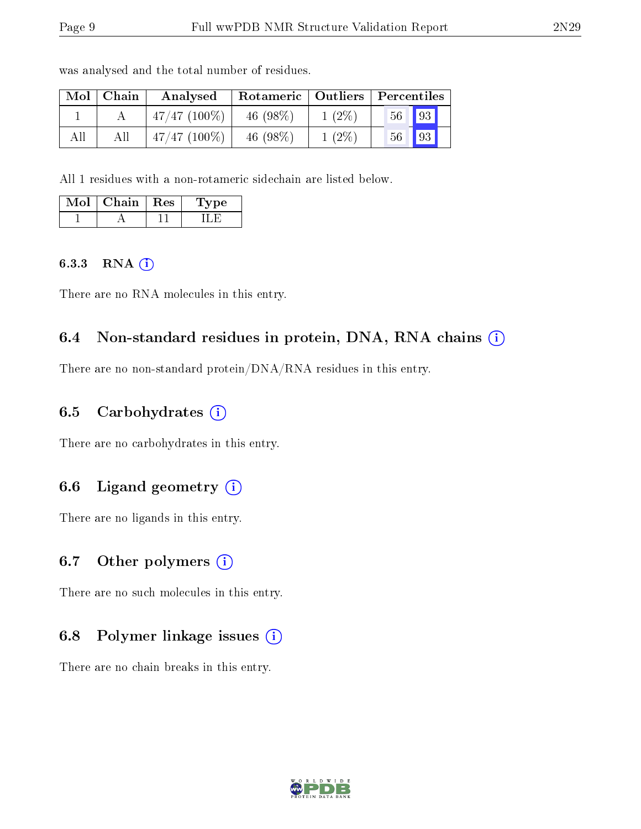| Mol | Chain | Analysed        | Rotameric   Outliers |          | Percentiles |             |  |
|-----|-------|-----------------|----------------------|----------|-------------|-------------|--|
|     |       | $47/47$ (100\%) | 46 $(98\%)$          | $1(2\%)$ | 56          | $\sqrt{93}$ |  |
| All | All   | $47/47$ (100\%) | 46 $(98%)$           | $1(2\%)$ | 56          | $\sqrt{93}$ |  |

was analysed and the total number of residues.

All 1 residues with a non-rotameric sidechain are listed below.

| Mol | Chain | $\pm$ Res $\pm$ | vpe<br>$\mathbf{L}$ |
|-----|-------|-----------------|---------------------|
|     |       |                 |                     |

#### 6.3.3 RNA [O](https://www.wwpdb.org/validation/2017/NMRValidationReportHelp#rna)i

There are no RNA molecules in this entry.

### 6.4 Non-standard residues in protein, DNA, RNA chains (i)

There are no non-standard protein/DNA/RNA residues in this entry.

#### 6.5 Carbohydrates  $(i)$

There are no carbohydrates in this entry.

### 6.6 Ligand geometry  $(i)$

There are no ligands in this entry.

### 6.7 [O](https://www.wwpdb.org/validation/2017/NMRValidationReportHelp#nonstandard_residues_and_ligands)ther polymers  $(i)$

There are no such molecules in this entry.

### 6.8 Polymer linkage issues  $(i)$

There are no chain breaks in this entry.

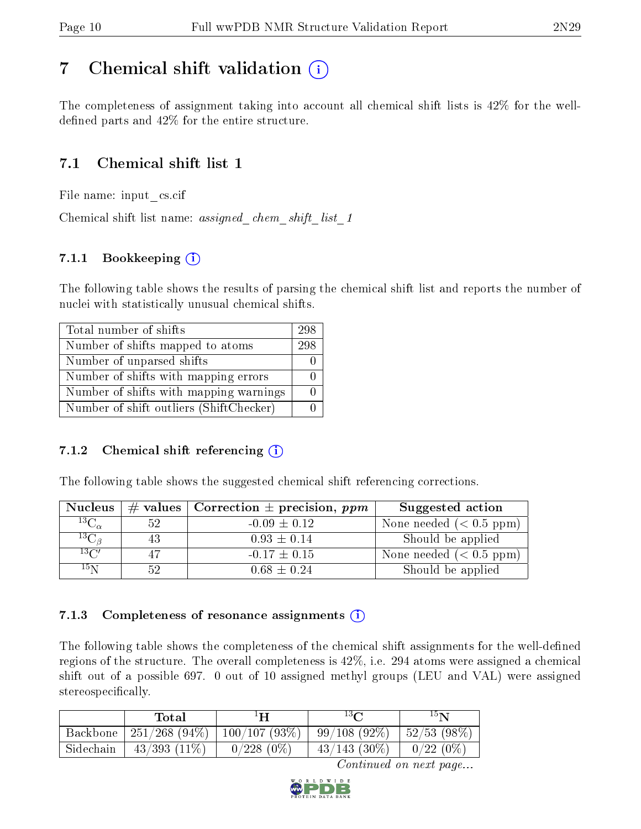## <span id="page-9-0"></span>7 Chemical shift validation  $\left( \begin{array}{c} \overline{1} \end{array} \right)$

The completeness of assignment taking into account all chemical shift lists is 42% for the welldefined parts and  $42\%$  for the entire structure.

### 7.1 Chemical shift list 1

File name: input\_cs.cif

Chemical shift list name: assigned chem shift list 1

### 7.1.1 Bookkeeping (i)

The following table shows the results of parsing the chemical shift list and reports the number of nuclei with statistically unusual chemical shifts.

| Total number of shifts                  | 298 |
|-----------------------------------------|-----|
| Number of shifts mapped to atoms        | 298 |
| Number of unparsed shifts               |     |
| Number of shifts with mapping errors    |     |
| Number of shifts with mapping warnings  |     |
| Number of shift outliers (ShiftChecker) |     |

#### 7.1.2 Chemical shift referencing  $(i)$

The following table shows the suggested chemical shift referencing corrections.

| <b>Nucleus</b>                        |    | # values   Correction $\pm$ precision, ppm | Suggested action        |
|---------------------------------------|----|--------------------------------------------|-------------------------|
| $^{13}\overline{\mathrm{C}_{\alpha}}$ | 52 | $-0.09 \pm 0.12$                           | None needed $(0.5 ppm)$ |
| ${}^{13}C_{\beta}$                    | 43 | $0.93 \pm 0.14$                            | Should be applied       |
| $13\text{C}$                          |    | $-0.17 \pm 0.15$                           | None needed $(0.5 ppm)$ |
| $15\,\mathrm{N}$                      |    | $0.68 \pm 0.24$                            | Should be applied       |

#### 7.1.3 Completeness of resonance assignments  $(i)$

The following table shows the completeness of the chemical shift assignments for the well-defined regions of the structure. The overall completeness is 42%, i.e. 294 atoms were assigned a chemical shift out of a possible 697. 0 out of 10 assigned methyl groups (LEU and VAL) were assigned stereospecifically.

|           | Total                             | ŀН           | $13\Omega$      | 15N                       |
|-----------|-----------------------------------|--------------|-----------------|---------------------------|
| Backbone  | $251/268$ (94\%)   100/107 (93\%) |              | $99/108(92\%)$  | $\frac{1}{2}$ 52/53 (98%) |
| Sidechain | $43/393$ $(11\%)$                 | $0/228(0\%)$ | $43/143$ (30\%) | $0/22(0\%$                |

Continued on next page...